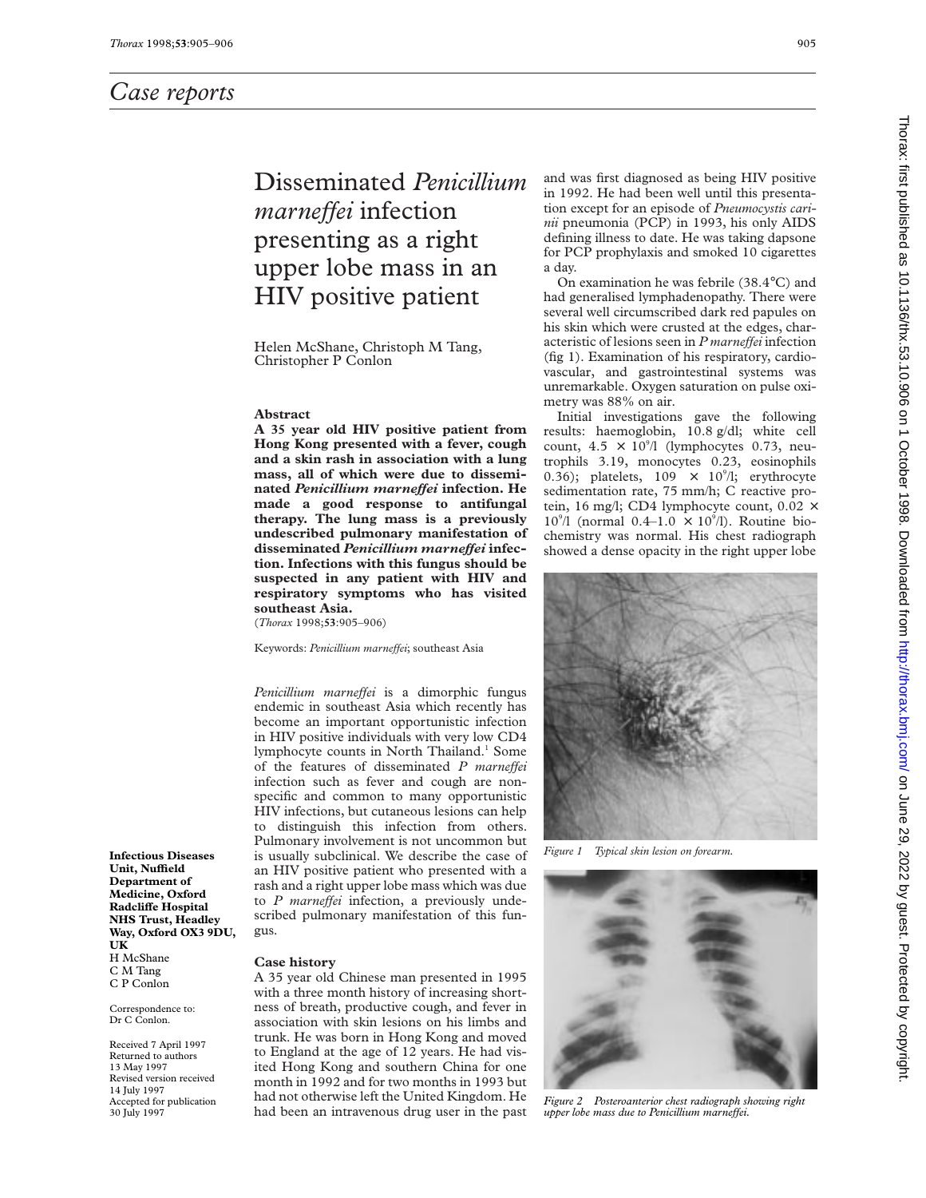# Disseminated *Penicillium marneffei* infection presenting as a right upper lobe mass in an HIV positive patient

Helen McShane, Christoph M Tang, Christopher P Conlon

#### **Abstract**

**A 35 year old HIV positive patient from Hong Kong presented with a fever, cough and a skin rash in association with a lung mass, all of which were due to disseminated** *Penicillium marneVei* **infection. He made a good response to antifungal therapy. The lung mass is a previously undescribed pulmonary manifestation of** disseminated *Penicillium marneffei* infec**tion. Infections with this fungus should be suspected in any patient with HIV and respiratory symptoms who has visited southeast Asia.**

(*Thorax* 1998;**53**:905–906)

Keywords: *Penicillium marneffei*; southeast Asia

*Penicillium marneffei* is a dimorphic fungus endemic in southeast Asia which recently has become an important opportunistic infection in HIV positive individuals with very low CD4 lymphocyte counts in North Thailand.<sup>1</sup> Some of the features of disseminated *P marneffei* infection such as fever and cough are nonspecific and common to many opportunistic HIV infections, but cutaneous lesions can help to distinguish this infection from others. Pulmonary involvement is not uncommon but is usually subclinical. We describe the case of an HIV positive patient who presented with a rash and a right upper lobe mass which was due to *P* marneffei infection, a previously undescribed pulmonary manifestation of this fungus.

**Infectious Diseases Unit, NuYeld Department of Medicine, Oxford Radcliffe Hospital NHS Trust, Headley Way, Oxford OX3 9DU, UK** H McShane C M Tang C P Conlon

Correspondence to: Dr C Conlon.

Received 7 April 1997 Returned to authors 13 May 1997 Revised version received 14 July 1997 Accepted for publication 30 July 1997

#### **Case history**

A 35 year old Chinese man presented in 1995 with a three month history of increasing shortness of breath, productive cough, and fever in association with skin lesions on his limbs and trunk. He was born in Hong Kong and moved to England at the age of 12 years. He had visited Hong Kong and southern China for one month in 1992 and for two months in 1993 but had not otherwise left the United Kingdom. He had been an intravenous drug user in the past and was first diagnosed as being HIV positive in 1992. He had been well until this presentation except for an episode of *Pneumocystis carinii* pneumonia (PCP) in 1993, his only AIDS defining illness to date. He was taking dapsone for PCP prophylaxis and smoked 10 cigarettes a day.

On examination he was febrile (38.4°C) and had generalised lymphadenopathy. There were several well circumscribed dark red papules on his skin which were crusted at the edges, characteristic of lesions seen in *P marneffei* infection (fig 1). Examination of his respiratory, cardiovascular, and gastrointestinal systems was unremarkable. Oxygen saturation on pulse oximetry was 88% on air.

Initial investigations gave the following results: haemoglobin, 10.8 g/dl; white cell count,  $4.5 \times 10^{9}$ /l (lymphocytes 0.73, neutrophils 3.19, monocytes 0.23, eosinophils 0.36); platelets,  $109 \times 10^{9}/l$ ; erythrocyte sedimentation rate, 75 mm/h; C reactive protein, 16 mg/l; CD4 lymphocyte count,  $0.02 \times$  $10^{\circ}/1$  (normal  $0.4-1.0 \times 10^{\circ}/1$ ). Routine biochemistry was normal. His chest radiograph showed a dense opacity in the right upper lobe



*Figure 1 Typical skin lesion on forearm.*



*Figure 2 Posteroanterior chest radiograph showing right upper lobe mass due to Penicillium marneffei.*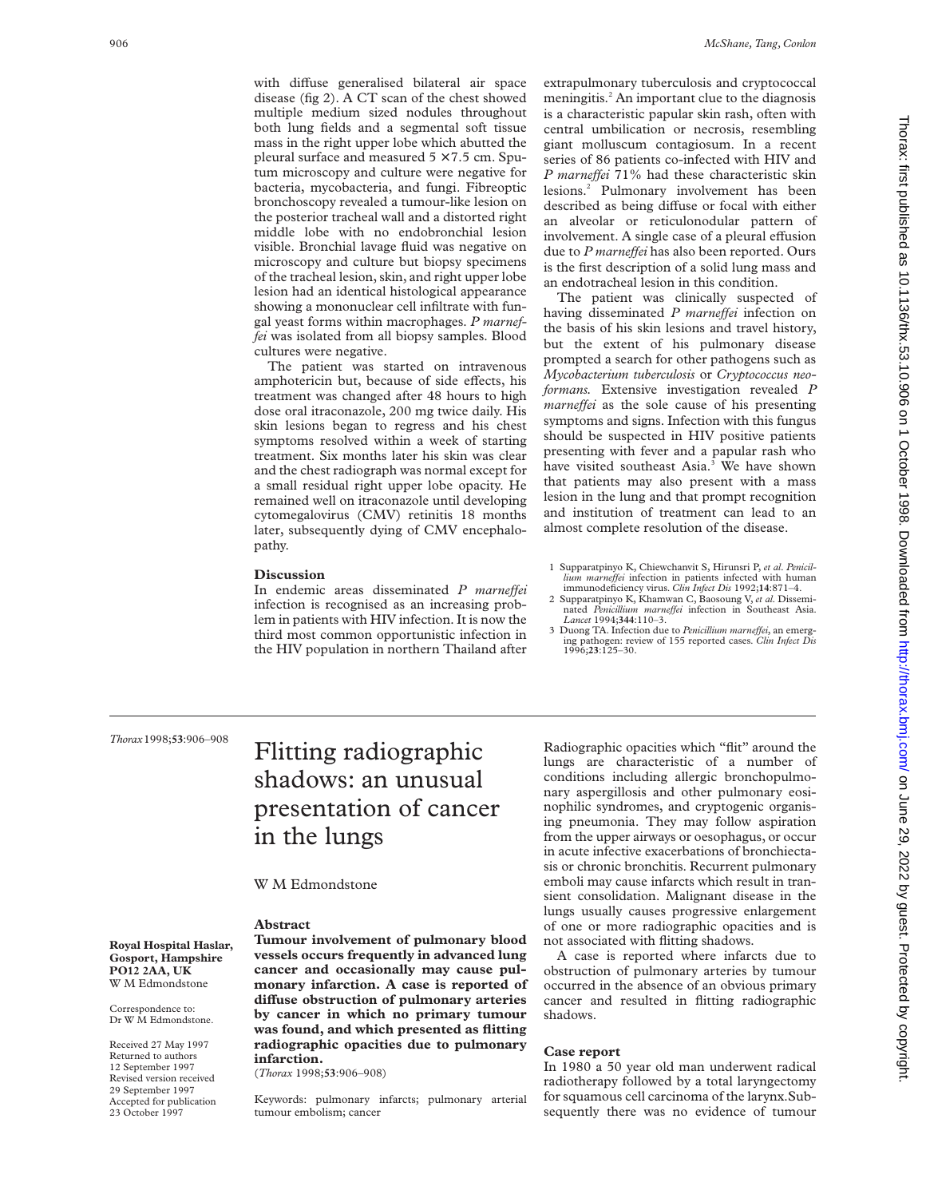with diffuse generalised bilateral air space disease (fig 2). A CT scan of the chest showed multiple medium sized nodules throughout both lung fields and a segmental soft tissue mass in the right upper lobe which abutted the pleural surface and measured  $5 \times 7.5$  cm. Sputum microscopy and culture were negative for bacteria, mycobacteria, and fungi. Fibreoptic bronchoscopy revealed a tumour-like lesion on the posterior tracheal wall and a distorted right middle lobe with no endobronchial lesion visible. Bronchial lavage fluid was negative on microscopy and culture but biopsy specimens of the tracheal lesion, skin, and right upper lobe lesion had an identical histological appearance showing a mononuclear cell infiltrate with fungal yeast forms within macrophages. *P marneffei* was isolated from all biopsy samples. Blood cultures were negative.

The patient was started on intravenous amphotericin but, because of side effects, his treatment was changed after 48 hours to high dose oral itraconazole, 200 mg twice daily. His skin lesions began to regress and his chest symptoms resolved within a week of starting treatment. Six months later his skin was clear and the chest radiograph was normal except for a small residual right upper lobe opacity. He remained well on itraconazole until developing cytomegalovirus (CMV) retinitis 18 months later, subsequently dying of CMV encephalopathy.

#### **Discussion**

In endemic areas disseminated *P marneffei* infection is recognised as an increasing problem in patients with HIV infection. It is now the third most common opportunistic infection in the HIV population in northern Thailand after extrapulmonary tuberculosis and cryptococcal meningitis.<sup>2</sup> An important clue to the diagnosis is a characteristic papular skin rash, often with central umbilication or necrosis, resembling giant molluscum contagiosum. In a recent series of 86 patients co-infected with HIV and *P marneffei* 71% had these characteristic skin lesions.2 Pulmonary involvement has been described as being diffuse or focal with either an alveolar or reticulonodular pattern of involvement. A single case of a pleural effusion due to *P* marneffei has also been reported. Ours is the first description of a solid lung mass and an endotracheal lesion in this condition.

The patient was clinically suspected of having disseminated *P marneffei* infection on the basis of his skin lesions and travel history, but the extent of his pulmonary disease prompted a search for other pathogens such as *Mycobacterium tuberculosis* or *Cryptococcus neoformans.* Extensive investigation revealed *P marneffei* as the sole cause of his presenting symptoms and signs. Infection with this fungus should be suspected in HIV positive patients presenting with fever and a papular rash who have visited southeast Asia.<sup>3</sup> We have shown that patients may also present with a mass lesion in the lung and that prompt recognition and institution of treatment can lead to an almost complete resolution of the disease.

- 1 Supparatpinyo K, Chiewchanvit S, Hirunsri P, *et al*. *Penicillium marneVei* infection in patients infected with human immunodeficiency virus. *Clin Infect Dis* 1992;**14**:871–4.
- 2 Supparatpinyo K, Khamwan C, Baosoung V, *et al*. Disseminated *Penicillium marneffei* infection in Southeast Asia.<br>Lancet 1994;**344**:110–3.
- 3 Duong TA. Infection due to *Penicillium marneffei*, an emerging pathogen: review of 155 reported cases. *Clin Infect Dis* 1996;**23**:125–30.

#### *Thorax*1998;**53**:906–908

**Royal Hospital Haslar, Gosport, Hampshire PO12 2AA, UK** W M Edmondstone Correspondence to: Dr W M Edmondstone. Received 27 May 1997 Returned to authors 12 September 1997 Revised version received 29 September 1997 Accepted for publication 23 October 1997

# Flitting radiographic shadows: an unusual presentation of cancer in the lungs

#### W M Edmondstone

#### **Abstract**

**Tumour involvement of pulmonary blood vessels occurs frequently in advanced lung cancer and occasionally may cause pulmonary infarction. A case is reported of diVuse obstruction of pulmonary arteries by cancer in which no primary tumour was found, and which presented as flitting radiographic opacities due to pulmonary infarction.**

(*Thorax* 1998;**53**:906–908)

Keywords: pulmonary infarcts; pulmonary arterial tumour embolism; cancer

Radiographic opacities which "flit" around the lungs are characteristic of a number of conditions including allergic bronchopulmonary aspergillosis and other pulmonary eosinophilic syndromes, and cryptogenic organising pneumonia. They may follow aspiration from the upper airways or oesophagus, or occur in acute infective exacerbations of bronchiectasis or chronic bronchitis. Recurrent pulmonary emboli may cause infarcts which result in transient consolidation. Malignant disease in the lungs usually causes progressive enlargement of one or more radiographic opacities and is not associated with flitting shadows.

A case is reported where infarcts due to obstruction of pulmonary arteries by tumour occurred in the absence of an obvious primary cancer and resulted in flitting radiographic shadows.

#### **Case report**

In 1980 a 50 year old man underwent radical radiotherapy followed by a total laryngectomy for squamous cell carcinoma of the larynx.Subsequently there was no evidence of tumour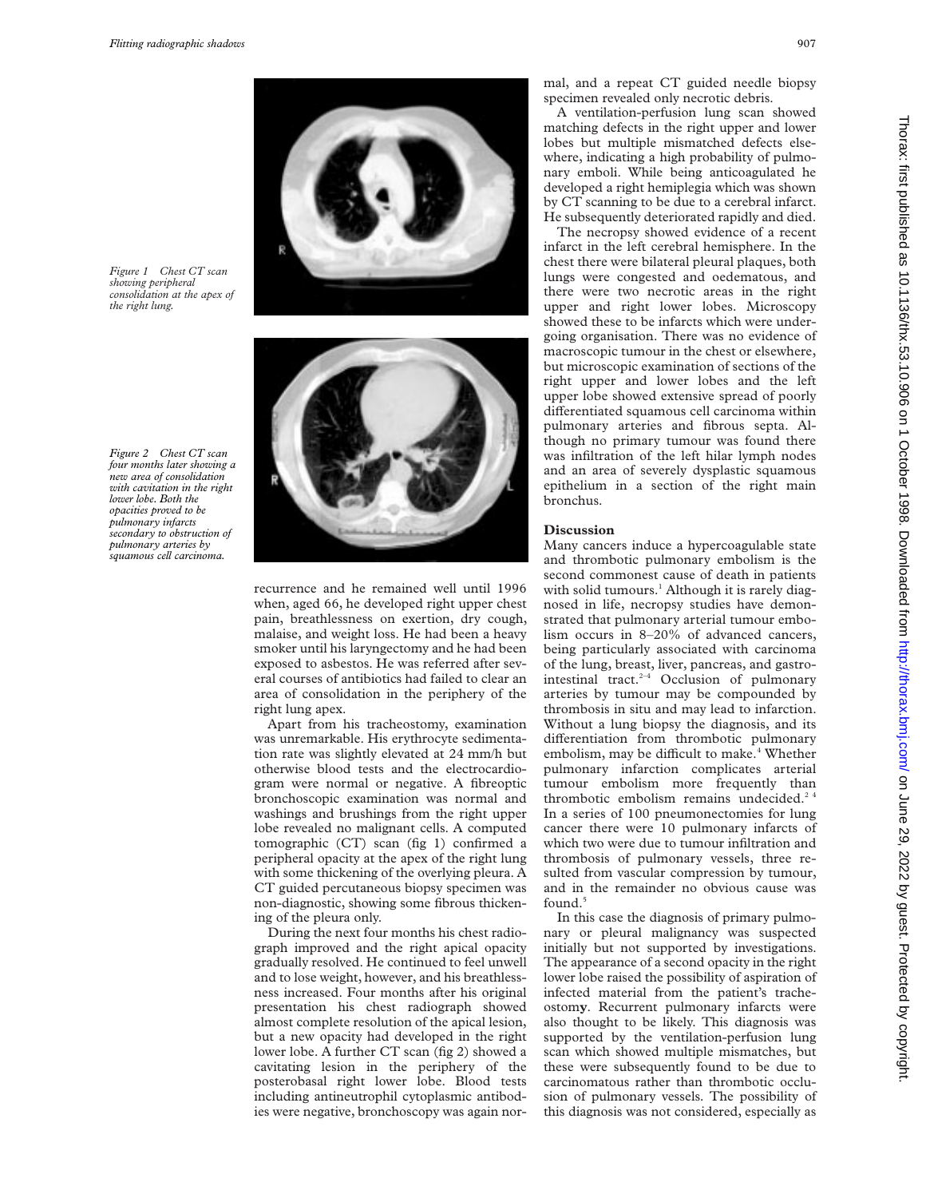*Figure 1 Chest CT scan showing peripheral consolidation at the apex of the right lung.*

*Figure 2 Chest CT scan four months later showing a new area of consolidation with cavitation in the right lower lobe. Both the opacities proved to be pulmonary infarcts secondary to obstruction of pulmonary arteries by squamous cell carcinoma.*





recurrence and he remained well until 1996 when, aged 66, he developed right upper chest pain, breathlessness on exertion, dry cough, malaise, and weight loss. He had been a heavy smoker until his laryngectomy and he had been exposed to asbestos. He was referred after several courses of antibiotics had failed to clear an area of consolidation in the periphery of the right lung apex.

Apart from his tracheostomy, examination was unremarkable. His erythrocyte sedimentation rate was slightly elevated at 24 mm/h but otherwise blood tests and the electrocardiogram were normal or negative. A fibreoptic bronchoscopic examination was normal and washings and brushings from the right upper lobe revealed no malignant cells. A computed tomographic (CT) scan (fig 1) confirmed a peripheral opacity at the apex of the right lung with some thickening of the overlying pleura. A CT guided percutaneous biopsy specimen was non-diagnostic, showing some fibrous thickening of the pleura only.

During the next four months his chest radiograph improved and the right apical opacity gradually resolved. He continued to feel unwell and to lose weight, however, and his breathlessness increased. Four months after his original presentation his chest radiograph showed almost complete resolution of the apical lesion, but a new opacity had developed in the right lower lobe. A further CT scan (fig 2) showed a cavitating lesion in the periphery of the posterobasal right lower lobe. Blood tests including antineutrophil cytoplasmic antibodies were negative, bronchoscopy was again normal, and a repeat CT guided needle biopsy specimen revealed only necrotic debris.

A ventilation-perfusion lung scan showed matching defects in the right upper and lower lobes but multiple mismatched defects elsewhere, indicating a high probability of pulmonary emboli. While being anticoagulated he developed a right hemiplegia which was shown by CT scanning to be due to a cerebral infarct. He subsequently deteriorated rapidly and died.

The necropsy showed evidence of a recent infarct in the left cerebral hemisphere. In the chest there were bilateral pleural plaques, both lungs were congested and oedematous, and there were two necrotic areas in the right upper and right lower lobes. Microscopy showed these to be infarcts which were undergoing organisation. There was no evidence of macroscopic tumour in the chest or elsewhere, but microscopic examination of sections of the right upper and lower lobes and the left upper lobe showed extensive spread of poorly differentiated squamous cell carcinoma within pulmonary arteries and fibrous septa. Although no primary tumour was found there was infiltration of the left hilar lymph nodes and an area of severely dysplastic squamous epithelium in a section of the right main bronchus.

#### **Discussion**

Many cancers induce a hypercoagulable state and thrombotic pulmonary embolism is the second commonest cause of death in patients with solid tumours.<sup>1</sup> Although it is rarely diagnosed in life, necropsy studies have demonstrated that pulmonary arterial tumour embolism occurs in 8–20% of advanced cancers, being particularly associated with carcinoma of the lung, breast, liver, pancreas, and gastrointestinal tract.<sup>2-4</sup> Occlusion of pulmonary arteries by tumour may be compounded by thrombosis in situ and may lead to infarction. Without a lung biopsy the diagnosis, and its differentiation from thrombotic pulmonary embolism, may be difficult to make.<sup>4</sup> Whether pulmonary infarction complicates arterial tumour embolism more frequently than thrombotic embolism remains undecided.<sup>24</sup> In a series of 100 pneumonectomies for lung cancer there were 10 pulmonary infarcts of which two were due to tumour infiltration and thrombosis of pulmonary vessels, three resulted from vascular compression by tumour, and in the remainder no obvious cause was found.<sup>5</sup>

In this case the diagnosis of primary pulmonary or pleural malignancy was suspected initially but not supported by investigations. The appearance of a second opacity in the right lower lobe raised the possibility of aspiration of infected material from the patient's tracheostom**y**. Recurrent pulmonary infarcts were also thought to be likely. This diagnosis was supported by the ventilation-perfusion lung scan which showed multiple mismatches, but these were subsequently found to be due to carcinomatous rather than thrombotic occlusion of pulmonary vessels. The possibility of this diagnosis was not considered, especially as